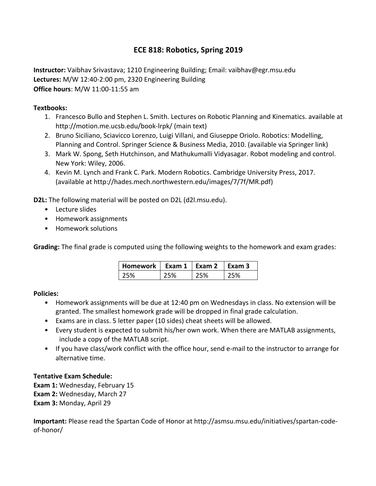# **ECE 818: Robotics, Spring 2019**

**Instructor:** Vaibhav Srivastava; 1210 Engineering Building; Email: vaibhav@egr.msu.edu **Lectures:** M/W 12:40-2:00 pm, 2320 Engineering Building **Office hours**: M/W 11:00-11:55 am

### **Textbooks:**

- 1. Francesco Bullo and Stephen L. Smith. Lectures on Robotic Planning and Kinematics. available at http://motion.me.ucsb.edu/book-lrpk/ (main text)
- 2. Bruno Siciliano, Sciavicco Lorenzo, Luigi Villani, and Giuseppe Oriolo. Robotics: Modelling, Planning and Control. Springer Science & Business Media, 2010. (available via Springer link)
- 3. Mark W. Spong, Seth Hutchinson, and Mathukumalli Vidyasagar. Robot modeling and control. New York: Wiley, 2006.
- 4. Kevin M. Lynch and Frank C. Park. Modern Robotics. Cambridge University Press, 2017. (available at http://hades.mech.northwestern.edu/images/7/7f/MR.pdf)

**D2L:** The following material will be posted on D2L (d2l.msu.edu).

- Lecture slides
- Homework assignments
- Homework solutions

**Grading:** The final grade is computed using the following weights to the homework and exam grades:

| Homework   Exam 1   Exam 2 |     |      | $\mathsf{Exam}3$ |
|----------------------------|-----|------|------------------|
| 75%                        | ነ5% | ን 5% | ን5%              |

#### **Policies:**

- Homework assignments will be due at 12:40 pm on Wednesdays in class. No extension will be granted. The smallest homework grade will be dropped in final grade calculation.
- Exams are in class. 5 letter paper (10 sides) cheat sheets will be allowed.
- Every student is expected to submit his/her own work. When there are MATLAB assignments, include a copy of the MATLAB script.
- If you have class/work conflict with the office hour, send e-mail to the instructor to arrange for alternative time.

# **Tentative Exam Schedule:**

**Exam 1:** Wednesday, February 15 **Exam 2: Wednesday, March 27 Exam 3: Monday, April 29** 

**Important:** Please read the Spartan Code of Honor at http://asmsu.msu.edu/initiatives/spartan-codeof-honor/